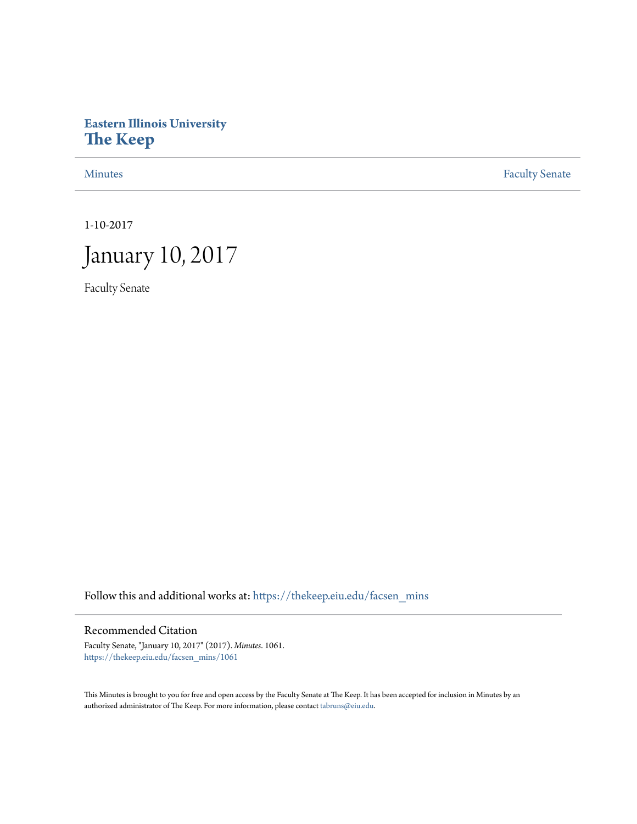# **Eastern Illinois University [The Keep](https://thekeep.eiu.edu?utm_source=thekeep.eiu.edu%2Ffacsen_mins%2F1061&utm_medium=PDF&utm_campaign=PDFCoverPages)**

[Minutes](https://thekeep.eiu.edu/facsen_mins?utm_source=thekeep.eiu.edu%2Ffacsen_mins%2F1061&utm_medium=PDF&utm_campaign=PDFCoverPages) **[Faculty Senate](https://thekeep.eiu.edu/fac_senate?utm_source=thekeep.eiu.edu%2Ffacsen_mins%2F1061&utm_medium=PDF&utm_campaign=PDFCoverPages)** 

1-10-2017



Faculty Senate

Follow this and additional works at: [https://thekeep.eiu.edu/facsen\\_mins](https://thekeep.eiu.edu/facsen_mins?utm_source=thekeep.eiu.edu%2Ffacsen_mins%2F1061&utm_medium=PDF&utm_campaign=PDFCoverPages)

## Recommended Citation

Faculty Senate, "January 10, 2017" (2017). *Minutes*. 1061. [https://thekeep.eiu.edu/facsen\\_mins/1061](https://thekeep.eiu.edu/facsen_mins/1061?utm_source=thekeep.eiu.edu%2Ffacsen_mins%2F1061&utm_medium=PDF&utm_campaign=PDFCoverPages)

This Minutes is brought to you for free and open access by the Faculty Senate at The Keep. It has been accepted for inclusion in Minutes by an authorized administrator of The Keep. For more information, please contact [tabruns@eiu.edu](mailto:tabruns@eiu.edu).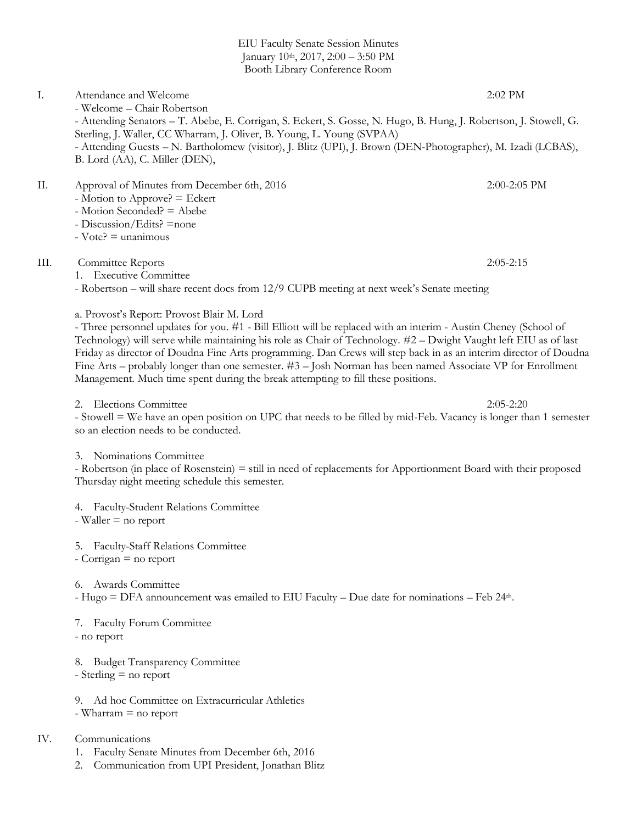EIU Faculty Senate Session Minutes January 10<sup>th</sup>, 2017, 2:00 - 3:50 PM Booth Library Conference Room

I. Attendance and Welcome 2:02 PM - Welcome – Chair Robertson - Attending Senators – T. Abebe, E. Corrigan, S. Eckert, S. Gosse, N. Hugo, B. Hung, J. Robertson, J. Stowell, G. Sterling, J. Waller, CC Wharram, J. Oliver, B. Young, L. Young (SVPAA) - Attending Guests – N. Bartholomew (visitor), J. Blitz (UPI), J. Brown (DEN-Photographer), M. Izadi (LCBAS), B. Lord (AA), C. Miller (DEN),

II. Approval of Minutes from December 6th, 2016 2:00-2:05 PM

- Motion to Approve? = Eckert
- Motion Seconded? = Abebe
- Discussion/Edits? =none
- $-Vote? =$  unanimous

#### III. Committee Reports 2:05-2:15

1. Executive Committee

- Robertson – will share recent docs from 12/9 CUPB meeting at next week's Senate meeting

a. Provost's Report: Provost Blair M. Lord

- Three personnel updates for you. #1 - Bill Elliott will be replaced with an interim - Austin Cheney (School of Technology) will serve while maintaining his role as Chair of Technology. #2 – Dwight Vaught left EIU as of last Friday as director of Doudna Fine Arts programming. Dan Crews will step back in as an interim director of Doudna Fine Arts – probably longer than one semester. #3 – Josh Norman has been named Associate VP for Enrollment Management. Much time spent during the break attempting to fill these positions.

2. Elections Committee 2:05-2:20

- Stowell = We have an open position on UPC that needs to be filled by mid-Feb. Vacancy is longer than 1 semester so an election needs to be conducted.

#### 3. Nominations Committee

- Robertson (in place of Rosenstein) = still in need of replacements for Apportionment Board with their proposed Thursday night meeting schedule this semester.

4. Faculty-Student Relations Committee

- Waller = no report

5. Faculty-Staff Relations Committee

- Corrigan = no report

6. Awards Committee

- Hugo = DFA announcement was emailed to EIU Faculty – Due date for nominations – Feb 24th.

7. Faculty Forum Committee - no report

8. Budget Transparency Committee - Sterling = no report

9. Ad hoc Committee on Extracurricular Athletics - Wharram = no report

### IV. Communications

- 1. Faculty Senate Minutes from December 6th, 2016
- 2. Communication from UPI President, Jonathan Blitz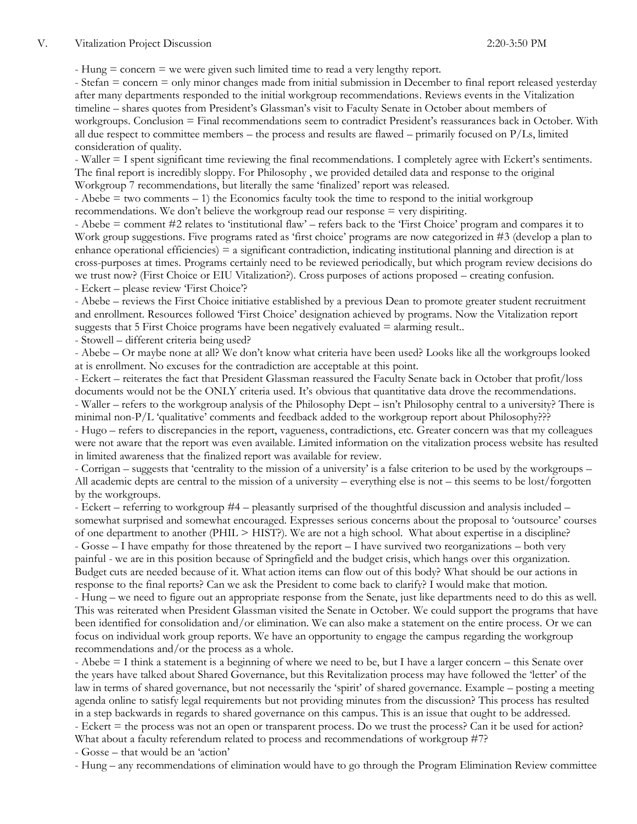$-$  Hung  $=$  concern  $=$  we were given such limited time to read a very lengthy report.

- Stefan = concern = only minor changes made from initial submission in December to final report released yesterday after many departments responded to the initial workgroup recommendations. Reviews events in the Vitalization timeline – shares quotes from President's Glassman's visit to Faculty Senate in October about members of workgroups. Conclusion = Final recommendations seem to contradict President's reassurances back in October. With all due respect to committee members – the process and results are flawed – primarily focused on P/Ls, limited consideration of quality.

- Waller = I spent significant time reviewing the final recommendations. I completely agree with Eckert's sentiments. The final report is incredibly sloppy. For Philosophy , we provided detailed data and response to the original Workgroup 7 recommendations, but literally the same 'finalized' report was released.

- Abebe = two comments – 1) the Economics faculty took the time to respond to the initial workgroup recommendations. We don't believe the workgroup read our response = very dispiriting.

- Abebe = comment #2 relates to 'institutional flaw' – refers back to the 'First Choice' program and compares it to Work group suggestions. Five programs rated as 'first choice' programs are now categorized in #3 (develop a plan to enhance operational efficiencies) = a significant contradiction, indicating institutional planning and direction is at cross-purposes at times. Programs certainly need to be reviewed periodically, but which program review decisions do we trust now? (First Choice or EIU Vitalization?). Cross purposes of actions proposed – creating confusion. - Eckert – please review 'First Choice'?

- Abebe – reviews the First Choice initiative established by a previous Dean to promote greater student recruitment and enrollment. Resources followed 'First Choice' designation achieved by programs. Now the Vitalization report suggests that 5 First Choice programs have been negatively evaluated = alarming result..

- Stowell – different criteria being used?

- Abebe – Or maybe none at all? We don't know what criteria have been used? Looks like all the workgroups looked at is enrollment. No excuses for the contradiction are acceptable at this point.

- Eckert – reiterates the fact that President Glassman reassured the Faculty Senate back in October that profit/loss documents would not be the ONLY criteria used. It's obvious that quantitative data drove the recommendations. - Waller – refers to the workgroup analysis of the Philosophy Dept – isn't Philosophy central to a university? There is minimal non-P/L 'qualitative' comments and feedback added to the workgroup report about Philosophy???

- Hugo – refers to discrepancies in the report, vagueness, contradictions, etc. Greater concern was that my colleagues were not aware that the report was even available. Limited information on the vitalization process website has resulted in limited awareness that the finalized report was available for review.

- Corrigan – suggests that 'centrality to the mission of a university' is a false criterion to be used by the workgroups – All academic depts are central to the mission of a university – everything else is not – this seems to be lost/forgotten by the workgroups.

- Eckert – referring to workgroup #4 – pleasantly surprised of the thoughtful discussion and analysis included – somewhat surprised and somewhat encouraged. Expresses serious concerns about the proposal to 'outsource' courses of one department to another (PHIL > HIST?). We are not a high school. What about expertise in a discipline? - Gosse – I have empathy for those threatened by the report – I have survived two reorganizations – both very painful - we are in this position because of Springfield and the budget crisis, which hangs over this organization. Budget cuts are needed because of it. What action items can flow out of this body? What should be our actions in response to the final reports? Can we ask the President to come back to clarify? I would make that motion.

- Hung – we need to figure out an appropriate response from the Senate, just like departments need to do this as well. This was reiterated when President Glassman visited the Senate in October. We could support the programs that have been identified for consolidation and/or elimination. We can also make a statement on the entire process. Or we can focus on individual work group reports. We have an opportunity to engage the campus regarding the workgroup recommendations and/or the process as a whole.

- Abebe = I think a statement is a beginning of where we need to be, but I have a larger concern – this Senate over the years have talked about Shared Governance, but this Revitalization process may have followed the 'letter' of the law in terms of shared governance, but not necessarily the 'spirit' of shared governance. Example – posting a meeting agenda online to satisfy legal requirements but not providing minutes from the discussion? This process has resulted in a step backwards in regards to shared governance on this campus. This is an issue that ought to be addressed. - Eckert = the process was not an open or transparent process. Do we trust the process? Can it be used for action? What about a faculty referendum related to process and recommendations of workgroup #7?

- Gosse – that would be an 'action'

- Hung – any recommendations of elimination would have to go through the Program Elimination Review committee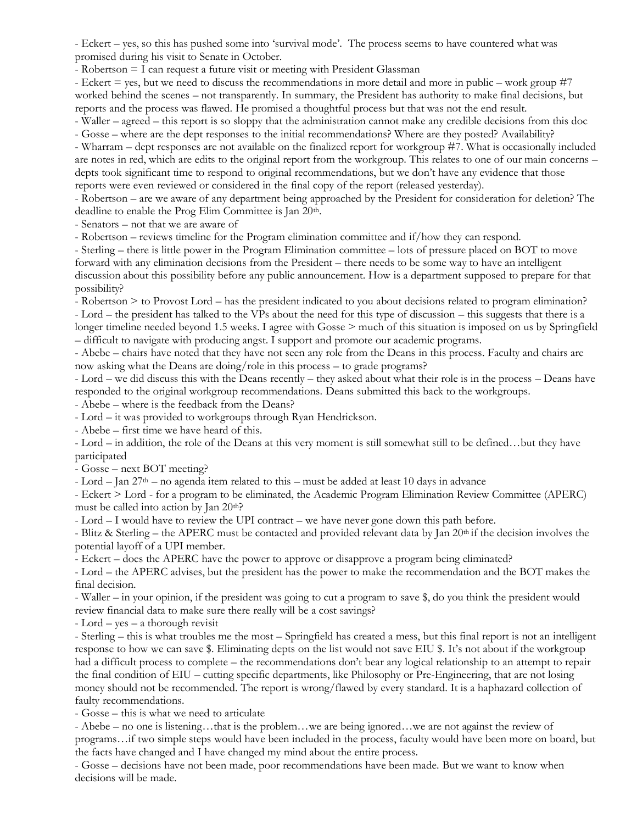- Eckert – yes, so this has pushed some into 'survival mode'. The process seems to have countered what was promised during his visit to Senate in October.

- Robertson = I can request a future visit or meeting with President Glassman

- Eckert = yes, but we need to discuss the recommendations in more detail and more in public – work group #7 worked behind the scenes – not transparently. In summary, the President has authority to make final decisions, but reports and the process was flawed. He promised a thoughtful process but that was not the end result.

- Waller – agreed – this report is so sloppy that the administration cannot make any credible decisions from this doc - Gosse – where are the dept responses to the initial recommendations? Where are they posted? Availability?

- Wharram – dept responses are not available on the finalized report for workgroup #7. What is occasionally included are notes in red, which are edits to the original report from the workgroup. This relates to one of our main concerns – depts took significant time to respond to original recommendations, but we don't have any evidence that those reports were even reviewed or considered in the final copy of the report (released yesterday).

- Robertson – are we aware of any department being approached by the President for consideration for deletion? The deadline to enable the Prog Elim Committee is Jan 20<sup>th</sup>.

- Senators – not that we are aware of

- Robertson – reviews timeline for the Program elimination committee and if/how they can respond.

- Sterling – there is little power in the Program Elimination committee – lots of pressure placed on BOT to move forward with any elimination decisions from the President – there needs to be some way to have an intelligent discussion about this possibility before any public announcement. How is a department supposed to prepare for that possibility?

- Robertson > to Provost Lord – has the president indicated to you about decisions related to program elimination? - Lord – the president has talked to the VPs about the need for this type of discussion – this suggests that there is a longer timeline needed beyond 1.5 weeks. I agree with Gosse  $\geq$  much of this situation is imposed on us by Springfield – difficult to navigate with producing angst. I support and promote our academic programs.

- Abebe – chairs have noted that they have not seen any role from the Deans in this process. Faculty and chairs are now asking what the Deans are doing/role in this process – to grade programs?

- Lord – we did discuss this with the Deans recently – they asked about what their role is in the process – Deans have responded to the original workgroup recommendations. Deans submitted this back to the workgroups.

- Abebe – where is the feedback from the Deans?

- Lord – it was provided to workgroups through Ryan Hendrickson.

- Abebe – first time we have heard of this.

- Lord – in addition, the role of the Deans at this very moment is still somewhat still to be defined…but they have participated

- Gosse – next BOT meeting?

- Lord – Jan  $27<sup>th</sup>$  – no agenda item related to this – must be added at least 10 days in advance

- Eckert > Lord - for a program to be eliminated, the Academic Program Elimination Review Committee (APERC) must be called into action by Jan  $20<sup>th</sup>$ ?

- Lord – I would have to review the UPI contract – we have never gone down this path before.

- Blitz & Sterling – the APERC must be contacted and provided relevant data by Jan 20th if the decision involves the potential layoff of a UPI member.

- Eckert – does the APERC have the power to approve or disapprove a program being eliminated?

- Lord – the APERC advises, but the president has the power to make the recommendation and the BOT makes the final decision.

- Waller – in your opinion, if the president was going to cut a program to save \$, do you think the president would review financial data to make sure there really will be a cost savings?

- Lord – yes – a thorough revisit

- Sterling – this is what troubles me the most – Springfield has created a mess, but this final report is not an intelligent response to how we can save \$. Eliminating depts on the list would not save EIU \$. It's not about if the workgroup had a difficult process to complete – the recommendations don't bear any logical relationship to an attempt to repair the final condition of EIU – cutting specific departments, like Philosophy or Pre-Engineering, that are not losing money should not be recommended. The report is wrong/flawed by every standard. It is a haphazard collection of faulty recommendations.

- Gosse – this is what we need to articulate

- Abebe – no one is listening…that is the problem…we are being ignored…we are not against the review of programs…if two simple steps would have been included in the process, faculty would have been more on board, but the facts have changed and I have changed my mind about the entire process.

- Gosse – decisions have not been made, poor recommendations have been made. But we want to know when decisions will be made.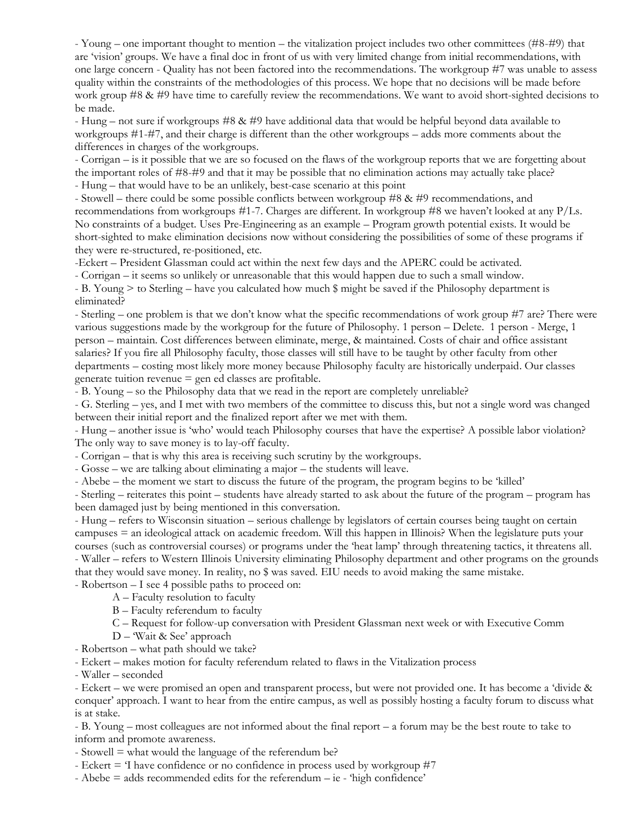- Young – one important thought to mention – the vitalization project includes two other committees (#8-#9) that are 'vision' groups. We have a final doc in front of us with very limited change from initial recommendations, with one large concern - Quality has not been factored into the recommendations. The workgroup #7 was unable to assess quality within the constraints of the methodologies of this process. We hope that no decisions will be made before work group #8 & #9 have time to carefully review the recommendations. We want to avoid short-sighted decisions to be made.

- Hung – not sure if workgroups #8 & #9 have additional data that would be helpful beyond data available to workgroups #1-#7, and their charge is different than the other workgroups – adds more comments about the differences in charges of the workgroups.

- Corrigan – is it possible that we are so focused on the flaws of the workgroup reports that we are forgetting about the important roles of #8-#9 and that it may be possible that no elimination actions may actually take place? - Hung – that would have to be an unlikely, best-case scenario at this point

- Stowell – there could be some possible conflicts between workgroup #8 & #9 recommendations, and recommendations from workgroups #1-7. Charges are different. In workgroup #8 we haven't looked at any P/Ls. No constraints of a budget. Uses Pre-Engineering as an example – Program growth potential exists. It would be short-sighted to make elimination decisions now without considering the possibilities of some of these programs if they were re-structured, re-positioned, etc.

-Eckert – President Glassman could act within the next few days and the APERC could be activated.

- Corrigan – it seems so unlikely or unreasonable that this would happen due to such a small window.

- B. Young > to Sterling – have you calculated how much \$ might be saved if the Philosophy department is eliminated?

- Sterling – one problem is that we don't know what the specific recommendations of work group #7 are? There were various suggestions made by the workgroup for the future of Philosophy. 1 person – Delete. 1 person - Merge, 1 person – maintain. Cost differences between eliminate, merge, & maintained. Costs of chair and office assistant salaries? If you fire all Philosophy faculty, those classes will still have to be taught by other faculty from other departments – costing most likely more money because Philosophy faculty are historically underpaid. Our classes generate tuition revenue  $=$  gen ed classes are profitable.

- B. Young – so the Philosophy data that we read in the report are completely unreliable?

- G. Sterling – yes, and I met with two members of the committee to discuss this, but not a single word was changed between their initial report and the finalized report after we met with them.

- Hung – another issue is 'who' would teach Philosophy courses that have the expertise? A possible labor violation? The only way to save money is to lay-off faculty.

- Corrigan – that is why this area is receiving such scrutiny by the workgroups.

- Gosse – we are talking about eliminating a major – the students will leave.

- Abebe – the moment we start to discuss the future of the program, the program begins to be 'killed'

- Sterling – reiterates this point – students have already started to ask about the future of the program – program has been damaged just by being mentioned in this conversation.

- Hung – refers to Wisconsin situation – serious challenge by legislators of certain courses being taught on certain campuses = an ideological attack on academic freedom. Will this happen in Illinois? When the legislature puts your courses (such as controversial courses) or programs under the 'heat lamp' through threatening tactics, it threatens all. - Waller – refers to Western Illinois University eliminating Philosophy department and other programs on the grounds that they would save money. In reality, no \$ was saved. EIU needs to avoid making the same mistake.

- Robertson – I see 4 possible paths to proceed on:

A – Faculty resolution to faculty

B – Faculty referendum to faculty

C – Request for follow-up conversation with President Glassman next week or with Executive Comm

- D 'Wait & See' approach
- Robertson what path should we take?

- Eckert – makes motion for faculty referendum related to flaws in the Vitalization process

- Waller – seconded

- Eckert – we were promised an open and transparent process, but were not provided one. It has become a 'divide & conquer' approach. I want to hear from the entire campus, as well as possibly hosting a faculty forum to discuss what is at stake.

- B. Young – most colleagues are not informed about the final report – a forum may be the best route to take to inform and promote awareness.

- Stowell = what would the language of the referendum be?

- Eckert = 'I have confidence or no confidence in process used by workgroup #7

- Abebe = adds recommended edits for the referendum – ie - 'high confidence'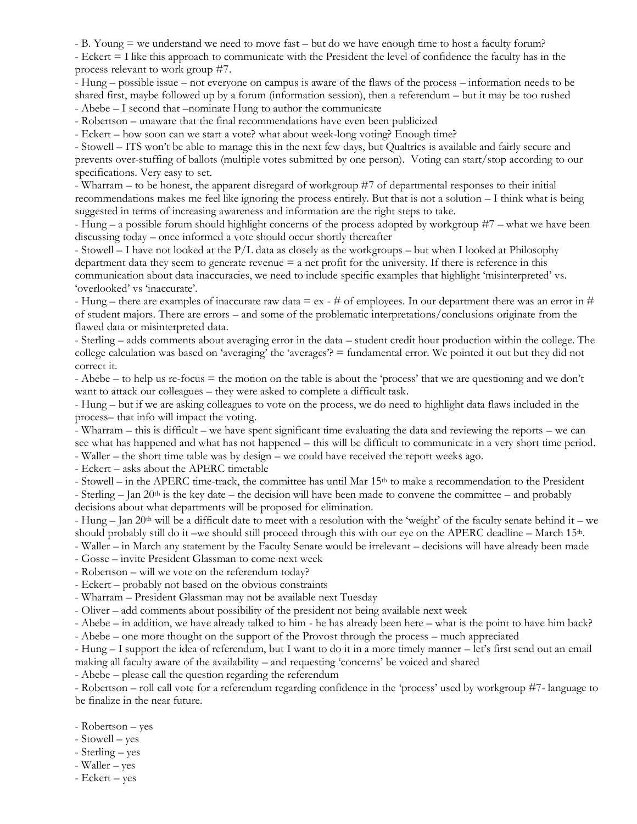- B. Young = we understand we need to move fast – but do we have enough time to host a faculty forum?

- Eckert = I like this approach to communicate with the President the level of confidence the faculty has in the process relevant to work group #7.

- Hung – possible issue – not everyone on campus is aware of the flaws of the process – information needs to be shared first, maybe followed up by a forum (information session), then a referendum – but it may be too rushed

- Abebe – I second that –nominate Hung to author the communicate

- Robertson – unaware that the final recommendations have even been publicized

- Eckert – how soon can we start a vote? what about week-long voting? Enough time?

- Stowell – ITS won't be able to manage this in the next few days, but Qualtrics is available and fairly secure and prevents over-stuffing of ballots (multiple votes submitted by one person). Voting can start/stop according to our specifications. Very easy to set.

- Wharram – to be honest, the apparent disregard of workgroup #7 of departmental responses to their initial recommendations makes me feel like ignoring the process entirely. But that is not a solution – I think what is being suggested in terms of increasing awareness and information are the right steps to take.

- Hung – a possible forum should highlight concerns of the process adopted by workgroup #7 – what we have been discussing today – once informed a vote should occur shortly thereafter

- Stowell – I have not looked at the P/L data as closely as the workgroups – but when I looked at Philosophy department data they seem to generate revenue = a net profit for the university. If there is reference in this communication about data inaccuracies, we need to include specific examples that highlight 'misinterpreted' vs. 'overlooked' vs 'inaccurate'.

- Hung – there are examples of inaccurate raw data  $= eX - #$  of employees. In our department there was an error in # of student majors. There are errors – and some of the problematic interpretations/conclusions originate from the flawed data or misinterpreted data.

- Sterling – adds comments about averaging error in the data – student credit hour production within the college. The college calculation was based on 'averaging' the 'averages'? = fundamental error. We pointed it out but they did not correct it.

- Abebe – to help us re-focus = the motion on the table is about the 'process' that we are questioning and we don't want to attack our colleagues – they were asked to complete a difficult task.

- Hung – but if we are asking colleagues to vote on the process, we do need to highlight data flaws included in the process– that info will impact the voting.

- Wharram – this is difficult – we have spent significant time evaluating the data and reviewing the reports – we can see what has happened and what has not happened – this will be difficult to communicate in a very short time period.

- Waller – the short time table was by design – we could have received the report weeks ago.

- Eckert – asks about the APERC timetable

- Stowell – in the APERC time-track, the committee has until Mar 15<sup>th</sup> to make a recommendation to the President - Sterling – Jan 20<sup>th</sup> is the key date – the decision will have been made to convene the committee – and probably decisions about what departments will be proposed for elimination.

- Hung – Jan 20<sup>th</sup> will be a difficult date to meet with a resolution with the 'weight' of the faculty senate behind it – we should probably still do it –we should still proceed through this with our eye on the APERC deadline – March 15<sup>th</sup>.

- Waller – in March any statement by the Faculty Senate would be irrelevant – decisions will have already been made

- Gosse – invite President Glassman to come next week

- Robertson – will we vote on the referendum today?

- Eckert – probably not based on the obvious constraints

- Wharram – President Glassman may not be available next Tuesday

- Oliver – add comments about possibility of the president not being available next week

- Abebe – in addition, we have already talked to him - he has already been here – what is the point to have him back? - Abebe – one more thought on the support of the Provost through the process – much appreciated

- Hung – I support the idea of referendum, but I want to do it in a more timely manner – let's first send out an email making all faculty aware of the availability – and requesting 'concerns' be voiced and shared

- Abebe – please call the question regarding the referendum

- Robertson – roll call vote for a referendum regarding confidence in the 'process' used by workgroup #7- language to be finalize in the near future.

- Robertson yes
- Stowell yes
- Sterling yes
- Waller yes
- Eckert yes